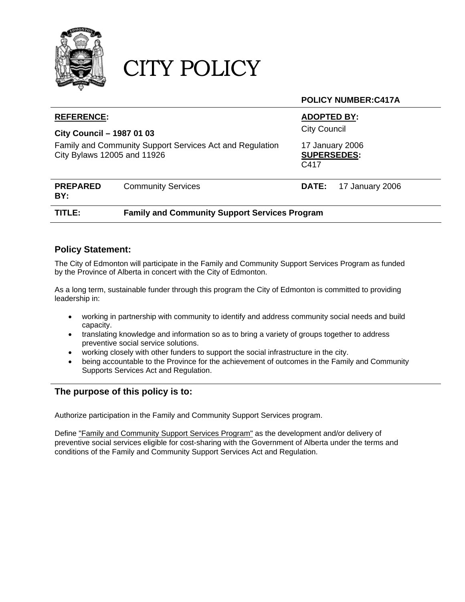

# CITY POLICY

#### **POLICY NUMBER:C417A**

| <b>City Council</b><br><b>City Council - 1987 01 03</b>                                                                                  | <b>REFERENCE:</b> |  | <b>ADOPTED BY:</b> |  |
|------------------------------------------------------------------------------------------------------------------------------------------|-------------------|--|--------------------|--|
|                                                                                                                                          |                   |  |                    |  |
| Family and Community Support Services Act and Regulation<br>17 January 2006<br>City Bylaws 12005 and 11926<br><b>SUPERSEDES:</b><br>C417 |                   |  |                    |  |
| <b>PREPARED</b><br><b>Community Services</b><br>17 January 2006<br><b>DATE:</b><br>BY:                                                   |                   |  |                    |  |
| <b>Family and Community Support Services Program</b><br>TITLE:                                                                           |                   |  |                    |  |

### **Policy Statement:**

The City of Edmonton will participate in the Family and Community Support Services Program as funded by the Province of Alberta in concert with the City of Edmonton.

As a long term, sustainable funder through this program the City of Edmonton is committed to providing leadership in:

- working in partnership with community to identify and address community social needs and build capacity.
- translating knowledge and information so as to bring a variety of groups together to address preventive social service solutions.
- working closely with other funders to support the social infrastructure in the city.
- being accountable to the Province for the achievement of outcomes in the Family and Community Supports Services Act and Regulation.

## **The purpose of this policy is to:**

Authorize participation in the Family and Community Support Services program.

Define "Family and Community Support Services Program" as the development and/or delivery of preventive social services eligible for cost-sharing with the Government of Alberta under the terms and conditions of the Family and Community Support Services Act and Regulation.